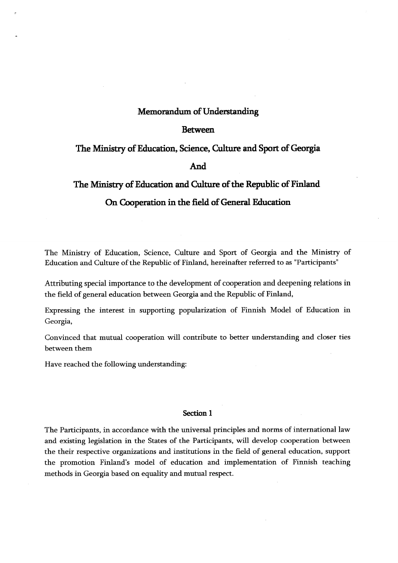### **Memorandum** of Understanding

#### **Between**

# **The Ministry of Education, Science, Culture and Sport of Georgia**

## **And**

## **The Ministry of Education and Culture of the Republic of Finland**

## **On Cooperation** in the field of General Education

The Ministry of Education, Science, Culture and Sport of Georgia and the Ministry of Education and Culture of the Republic of Finland, hereinafter referred to as "Participants"

Attributing special importance to the development of cooperation and deepening relations in the field of general education between Georgia and the Republic of Finland,

Expressing the interest in supporting popularization of Finnish Model of Education in Georgia,

Convinced that mutual cooperation will contribute to better understanding and closer ties between them

Have reached the following understanding:

#### **Section 1**

The Participants, in accordance with the universal principles and norms of international law and existing legislation in the States of the Participants, will develop cooperation between the their respective organizations and institutions in the field of general education, support the promotion Finland's model of education and implementation of Finnish teaching methods in Georgia based on equality and mutual respect.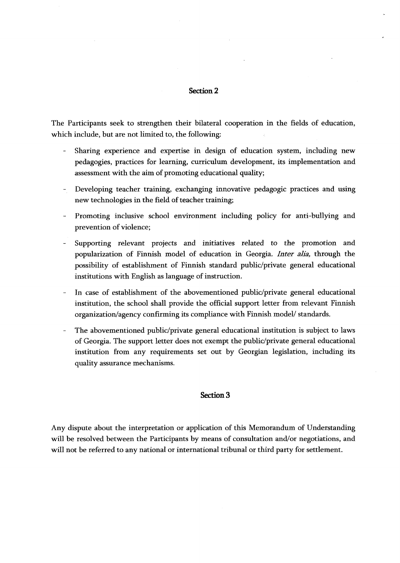## **Section2**

The Participants seek to strengthen their bilateral cooperation in the fields of education, which include, but are not limited to, the following:

- Sharing experience and expertise in design of education system, including new pedagogies, practices for learning, curriculum development, its implementation and assessment with the aim of promoting educational quality;
- Developing teacher training, exchanging innovative pedagogic practices and using new technologies in the field of teacher training;
- Promoting inclusive school environment including policy for anti-bullying and prevention of violence;
- Supporting relevant projects and initiatives related to the promotion and popularization of Finnish model of education in Georgia. *Inter alia,* through the possibility of establishment of Finnish standard public/private general educational institutions with English as language of instruction.
- In case of establishment of the abovementioned public/private general educational institution, the school shall provide the official support letter from relevant Finnish organization/agency confirming its compliance with Finnish model/ standards.
- The abovementioned public/private general educational institution is subject to laws of Georgia. The support letter does not exempt the public/private general educational institution from any requirements set out by Georgian legislation, including its quality assurance mechanisms.

## **Section 3**

Any dispute about the interpretation or application of this Memorandum of Understanding will be resolved between the Participants by means of consultation and/or negotiations, and will not be referred to any national or international tribunal or third party for settlement.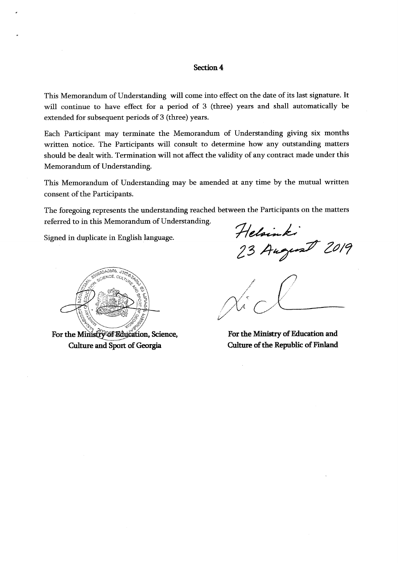#### **Section 4**

This Memorandum of Understanding will come into effect on the date of its last signature. It will continue to have effect for a period of 3 (three) years and shall automatically be extended for subsequent periods of 3 (three) years.

Each Participant may terminate the Memorandum of Understanding giving six months written notice. The Participants will consult to determine how any outstanding matters should be dealt with. Termination will not affect the validity of any contract made under this Memorandum of Understanding.

This Memorandum of Understanding may be amended at any time by the mutual written consent of the Participants.

The foregoing represents the understanding reached between the Participants on the matters referred to in this Memorandum of Understanding.

Signed in duplicate in English language.

 $\sqrt{1243816.336}$ **ENCE, CULTUR** 

For the Ministry of Education, Science, Culture and Sport of Georgia

*■ylG^#-\*\*»\*\* £3*

For the Ministry of Education and **Culture** of the Republic of Finland